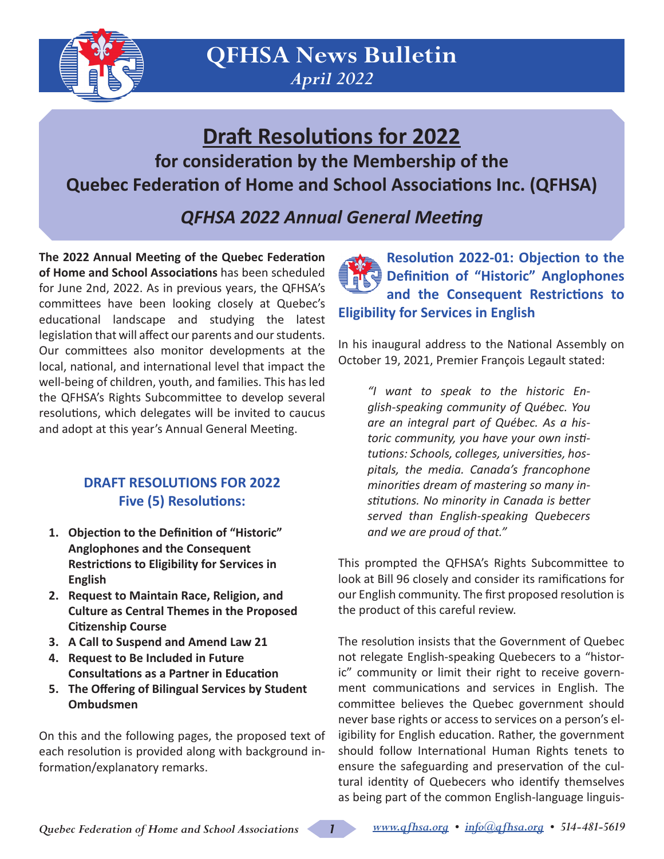

# **Draft Resolutions for 2022**

**for consideration by the Membership of the Quebec Federation of Home and School Associations Inc. (QFHSA)**

*QFHSA 2022 Annual General Meeting*

**The 2022 Annual Meeting of the Quebec Federation of Home and School Associations** has been scheduled for June 2nd, 2022. As in previous years, the QFHSA's committees have been looking closely at Quebec's educational landscape and studying the latest legislation that will affect our parents and our students. Our committees also monitor developments at the local, national, and international level that impact the well-being of children, youth, and families. This has led the QFHSA's Rights Subcommittee to develop several resolutions, which delegates will be invited to caucus and adopt at this year's Annual General Meeting.

## **DRAFT RESOLUTIONS FOR 2022 Five (5) Resolutions:**

- **1. Objection to the Definition of "Historic" Anglophones and the Consequent Restrictions to Eligibility for Services in English**
- **2. Request to Maintain Race, Religion, and Culture as Central Themes in the Proposed Citizenship Course**
- **3. A Call to Suspend and Amend Law 21**
- **4. Request to Be Included in Future Consultations as a Partner in Education**
- **5. The Offering of Bilingual Services by Student Ombudsmen**

On this and the following pages, the proposed text of each resolution is provided along with background information/explanatory remarks.

**Resolution 2022-01: Objection to the Definition of "Historic" Anglophones and the Consequent Restrictions to Eligibility for Services in English**

In his inaugural address to the National Assembly on October 19, 2021, Premier François Legault stated:

*"I want to speak to the historic English-speaking community of Québec. You are an integral part of Québec. As a historic community, you have your own institutions: Schools, colleges, universities, hospitals, the media. Canada's francophone minorities dream of mastering so many institutions. No minority in Canada is better served than English-speaking Quebecers and we are proud of that."*

This prompted the QFHSA's Rights Subcommittee to look at Bill 96 closely and consider its ramifications for our English community. The first proposed resolution is the product of this careful review.

The resolution insists that the Government of Quebec not relegate English-speaking Quebecers to a "historic" community or limit their right to receive government communications and services in English. The committee believes the Quebec government should never base rights or access to services on a person's eligibility for English education. Rather, the government should follow International Human Rights tenets to ensure the safeguarding and preservation of the cultural identity of Quebecers who identify themselves as being part of the common English-language linguis-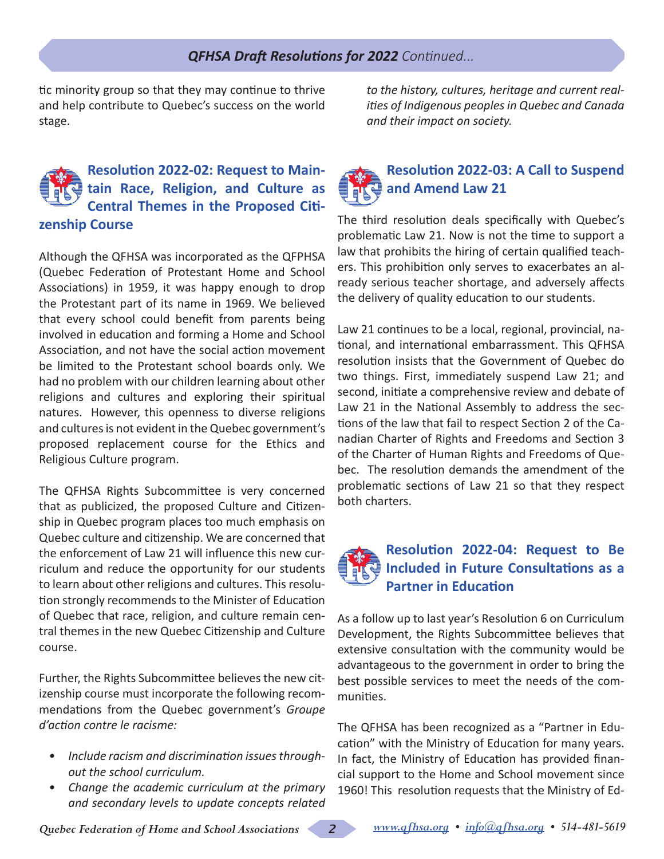### *QFHSA Draft Resolutions for 2022 Continued...*

tic minority group so that they may continue to thrive and help contribute to Quebec's success on the world stage.

### **Resolution 2022-02: Request to Maintain Race, Religion, and Culture as Central Themes in the Proposed Citizenship Course**

Although the QFHSA was incorporated as the QFPHSA (Quebec Federation of Protestant Home and School Associations) in 1959, it was happy enough to drop the Protestant part of its name in 1969. We believed that every school could benefit from parents being involved in education and forming a Home and School Association, and not have the social action movement be limited to the Protestant school boards only. We had no problem with our children learning about other religions and cultures and exploring their spiritual natures. However, this openness to diverse religions and cultures is not evident in the Quebec government's proposed replacement course for the Ethics and Religious Culture program.

The QFHSA Rights Subcommittee is very concerned that as publicized, the proposed Culture and Citizenship in Quebec program places too much emphasis on Quebec culture and citizenship. We are concerned that the enforcement of Law 21 will influence this new curriculum and reduce the opportunity for our students to learn about other religions and cultures. This resolution strongly recommends to the Minister of Education of Quebec that race, religion, and culture remain central themes in the new Quebec Citizenship and Culture course.

Further, the Rights Subcommittee believes the new citizenship course must incorporate the following recommendations from the Quebec government's *Groupe d'action contre le racisme:* 

- *• Include racism and discrimination issues throughout the school curriculum.*
- *• Change the academic curriculum at the primary and secondary levels to update concepts related*

*to the history, cultures, heritage and current realities of Indigenous peoples in Quebec and Canada and their impact on society.*

# **Resolution 2022-03: A Call to Suspend and Amend Law 21**

The third resolution deals specifically with Quebec's problematic Law 21. Now is not the time to support a law that prohibits the hiring of certain qualified teachers. This prohibition only serves to exacerbates an already serious teacher shortage, and adversely affects the delivery of quality education to our students.

Law 21 continues to be a local, regional, provincial, national, and international embarrassment. This QFHSA resolution insists that the Government of Quebec do two things. First, immediately suspend Law 21; and second, initiate a comprehensive review and debate of Law 21 in the National Assembly to address the sections of the law that fail to respect Section 2 of the Canadian Charter of Rights and Freedoms and Section 3 of the Charter of Human Rights and Freedoms of Quebec. The resolution demands the amendment of the problematic sections of Law 21 so that they respect both charters.

## **Resolution 2022-04: Request to Be Included in Future Consultations as a Partner in Education**

As a follow up to last year's Resolution 6 on Curriculum Development, the Rights Subcommittee believes that extensive consultation with the community would be advantageous to the government in order to bring the best possible services to meet the needs of the communities.

The QFHSA has been recognized as a "Partner in Education" with the Ministry of Education for many years. In fact, the Ministry of Education has provided financial support to the Home and School movement since 1960! This resolution requests that the Ministry of Ed-